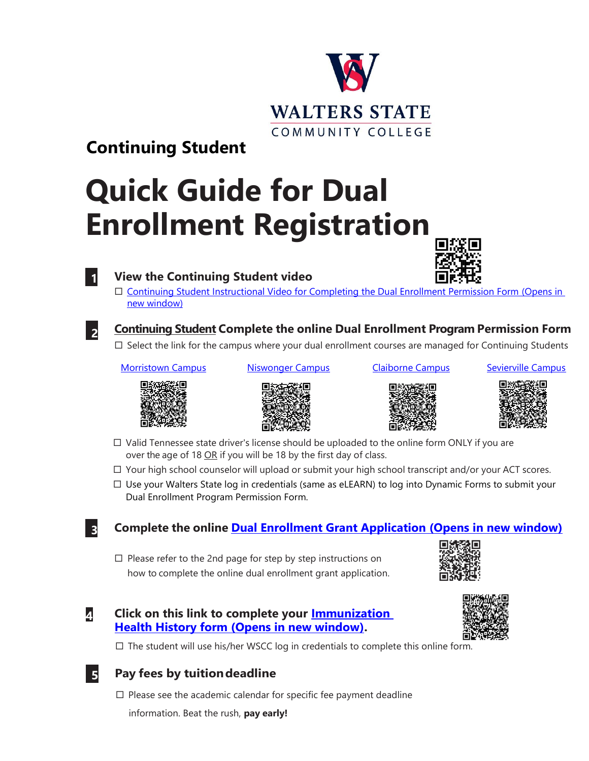# **WALTERS STATE** COMMUNITY COLLEGE

## **Continuing Student**

# **Quick Guide for Dual Enrollment Registration**



### **1 View the Continuing Student video**

 [Continuing Student Instructional Video for Completing the Dual Enrollment Permission Form \(Opens in](https://youtu.be/yoW_3tRuOgY)  [new window\)](https://youtu.be/yoW_3tRuOgY)



### **Continuing Student Complete the online Dual Enrollment Program Permission Form**

 $\Box$  Select the link for the campus where your dual enrollment courses are managed for Continuing Students

### [Morristown Campus](https://ws.edu/3rdParty/dynamic-forms/login/?targetUrl=https://dynamicforms.ngwebsolutions.com/Submit/Form/Start/1949edc2-2ce0-4a95-8bd9-9575555dcaa7) [Niswonger Campus](https://ws.edu/3rdParty/dynamic-forms/login/?targetUrl=https://dynamicforms.ngwebsolutions.com/Submit/Form/Start/118489c8-798e-43bd-a0dc-985bc7d445fc) [Claiborne Campus](https://ws.edu/3rdParty/dynamic-forms/login/?targetUrl=https://dynamicforms.ngwebsolutions.com/Submit/Form/Start/7dc239e7-b2d2-4e3d-827d-12afa0de7747) [Sevierville Campus](https://ws.edu/3rdParty/dynamic-forms/login/?targetUrl=https://dynamicforms.ngwebsolutions.com/Submit/Form/Start/8e814203-5755-4139-85be-22f4719ddf45)







- $\Box$  Valid Tennessee state driver's license should be uploaded to the online form ONLY if you are over the age of 18 OR if you will be 18 by the first day of class.
- $\Box$  Your high school counselor will upload or submit your high school transcript and/or your ACT scores.
- $\Box$  Use your Walters State log in credentials (same as eLEARN) to log into Dynamic Forms to submit your Dual Enrollment Program Permission Form.

### **3 Complete the online [Dual Enrollment Grant Application \(Opens in new window\)](https://www.tn.gov/collegepays/tsac-student-portal.html)**

 $\Box$  Please refer to the 2nd page for step by step instructions on how to complete the online dual enrollment grant application.







 $\Box$  The student will use his/her WSCC log in credentials to complete this online form.

### **5 Pay fees by tuitiondeadline**

- $\Box$  Please see the academic calendar for specific fee payment deadline
	- information. Beat the rush, **pay early!**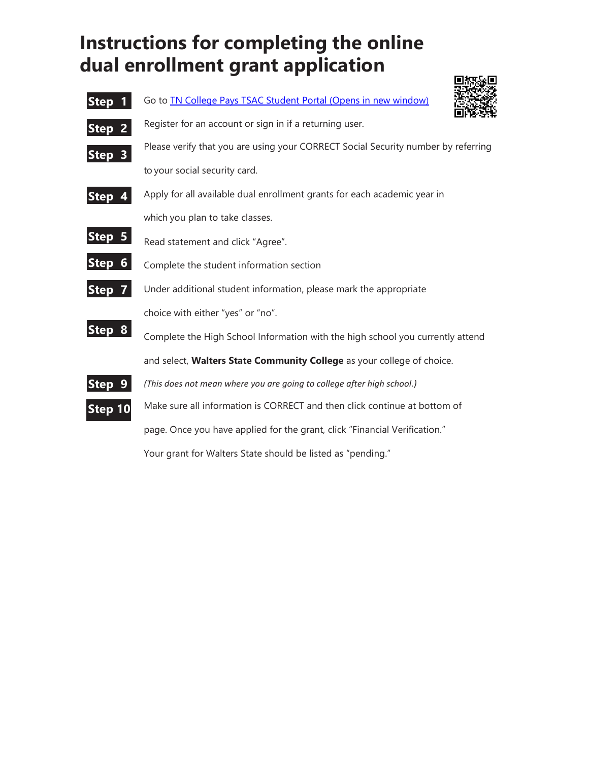# **Instructions for completing the online dual enrollment grant application**



Your grant for Walters State should be listed as "pending."